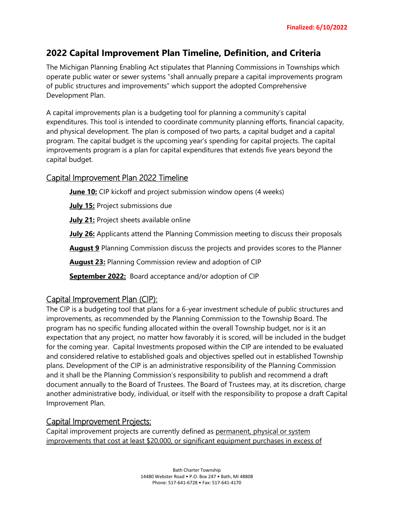# **2022 Capital Improvement Plan Timeline, Definition, and Criteria**

The Michigan Planning Enabling Act stipulates that Planning Commissions in Townships which operate public water or sewer systems "shall annually prepare a capital improvements program of public structures and improvements" which support the adopted Comprehensive Development Plan.

A capital improvements plan is a budgeting tool for planning a community's capital expenditures. This tool is intended to coordinate community planning efforts, financial capacity, and physical development. The plan is composed of two parts, a capital budget and a capital program. The capital budget is the upcoming year's spending for capital projects. The capital improvements program is a plan for capital expenditures that extends five years beyond the capital budget.

# Capital Improvement Plan 2022 Timeline

**June 10:** CIP kickoff and project submission window opens (4 weeks)

**July 15:** Project submissions due

**July 21:** Project sheets available online

**July 26:** Applicants attend the Planning Commission meeting to discuss their proposals

**August 9** Planning Commission discuss the projects and provides scores to the Planner

**August 23:** Planning Commission review and adoption of CIP

**September 2022:** Board acceptance and/or adoption of CIP

# Capital Improvement Plan (CIP):

The CIP is a budgeting tool that plans for a 6-year investment schedule of public structures and improvements, as recommended by the Planning Commission to the Township Board. The program has no specific funding allocated within the overall Township budget, nor is it an expectation that any project, no matter how favorably it is scored, will be included in the budget for the coming year. Capital Investments proposed within the CIP are intended to be evaluated and considered relative to established goals and objectives spelled out in established Township plans. Development of the CIP is an administrative responsibility of the Planning Commission and it shall be the Planning Commission's responsibility to publish and recommend a draft document annually to the Board of Trustees. The Board of Trustees may, at its discretion, charge another administrative body, individual, or itself with the responsibility to propose a draft Capital Improvement Plan.

# Capital Improvement Projects:

Capital improvement projects are currently defined as permanent, physical or system improvements that cost at least \$20,000, or significant equipment purchases in excess of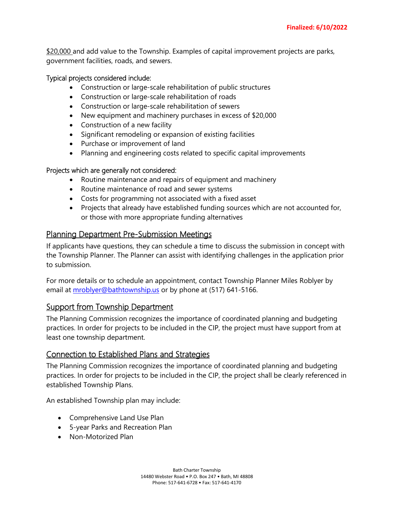\$20,000 and add value to the Township. Examples of capital improvement projects are parks, government facilities, roads, and sewers.

#### Typical projects considered include:

- Construction or large-scale rehabilitation of public structures
- Construction or large-scale rehabilitation of roads
- Construction or large-scale rehabilitation of sewers
- New equipment and machinery purchases in excess of \$20,000
- Construction of a new facility
- Significant remodeling or expansion of existing facilities
- Purchase or improvement of land
- Planning and engineering costs related to specific capital improvements

#### Projects which are generally not considered:

- Routine maintenance and repairs of equipment and machinery
- Routine maintenance of road and sewer systems
- Costs for programming not associated with a fixed asset
- Projects that already have established funding sources which are not accounted for, or those with more appropriate funding alternatives

## Planning Department Pre-Submission Meetings

If applicants have questions, they can schedule a time to discuss the submission in concept with the Township Planner. The Planner can assist with identifying challenges in the application prior to submission.

For more details or to schedule an appointment, contact Township Planner Miles Roblyer by email at [mroblyer@bathtownship.us](mailto:mroblyer@bathtownship.us) or by phone at (517) 641-5166.

#### Support from Township Department

The Planning Commission recognizes the importance of coordinated planning and budgeting practices. In order for projects to be included in the CIP, the project must have support from at least one township department.

#### Connection to Established Plans and Strategies

The Planning Commission recognizes the importance of coordinated planning and budgeting practices. In order for projects to be included in the CIP, the project shall be clearly referenced in established Township Plans.

An established Township plan may include:

- Comprehensive Land Use Plan
- 5-year Parks and Recreation Plan
- Non-Motorized Plan